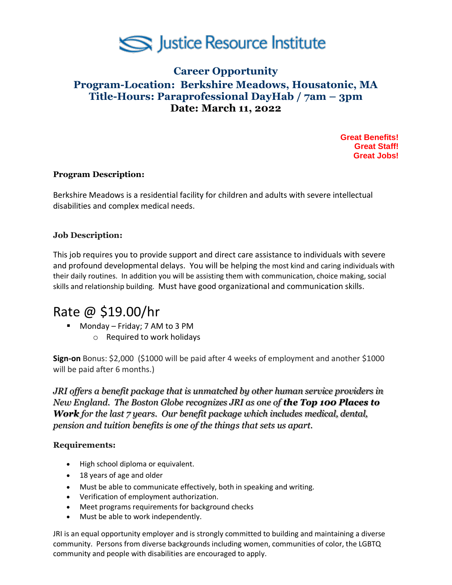

# **Career Opportunity Program-Location: Berkshire Meadows, Housatonic, MA Title-Hours: Paraprofessional DayHab / 7am – 3pm Date: March 11, 2022**

**Great Benefits! Great Staff! Great Jobs!**

### **Program Description:**

Berkshire Meadows is a residential facility for children and adults with severe intellectual disabilities and complex medical needs.

## **Job Description:**

This job requires you to provide support and direct care assistance to individuals with severe and profound developmental delays. You will be helping the most kind and caring individuals with their daily routines. In addition you will be assisting them with communication, choice making, social skills and relationship building. Must have good organizational and communication skills.

# Rate @ \$19.00/hr

■ Monday – Friday; 7 AM to 3 PM o Required to work holidays

**Sign-on** Bonus: \$2,000 (\$1000 will be paid after 4 weeks of employment and another \$1000 will be paid after 6 months.)

*JRI offers a benefit package that is unmatched by other human service providers in New England. The Boston Globe recognizes JRI as one of the Top 100 Places to Work for the last 7 years. Our benefit package which includes medical, dental, pension and tuition benefits is one of the things that sets us apart.*

### **Requirements:**

- High school diploma or equivalent.
- 18 years of age and older
- Must be able to communicate effectively, both in speaking and writing.
- Verification of employment authorization.
- Meet programs requirements for background checks
- Must be able to work independently.

JRI is an equal opportunity employer and is strongly committed to building and maintaining a diverse community. Persons from diverse backgrounds including women, communities of color, the LGBTQ community and people with disabilities are encouraged to apply.